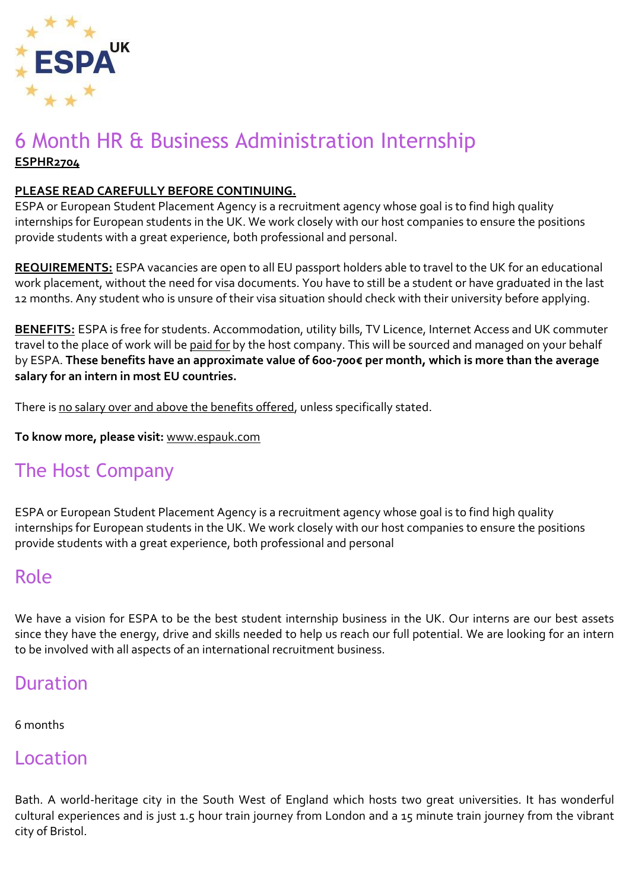

## 6 Month HR & Business Administration Internship **ESPHR2704**

#### **PLEASE READ CAREFULLY BEFORE CONTINUING.**

ESPA or European Student Placement Agency is a recruitment agency whose goal is to find high quality internships for European students in the UK. We work closely with our host companies to ensure the positions provide students with a great experience, both professional and personal.

**REQUIREMENTS:** ESPA vacancies are open to all EU passport holders able to travel to the UK for an educational work placement, without the need for visa documents. You have to still be a student or have graduated in the last 12 months. Any student who is unsure of their visa situation should check with their university before applying.

**BENEFITS:** ESPA is free for students. Accommodation, utility bills, TV Licence, Internet Access and UK commuter travel to the place of work will be paid for by the host company. This will be sourced and managed on your behalf by ESPA. **These benefits have an approximate value of 600-700€ per month, which is more than the average salary for an intern in most EU countries.**

There is no salary over and above the benefits offered, unless specifically stated.

**To know more, please visit:** [www.espauk.com](http://www.espauk.com/)

# The Host Company

ESPA or European Student Placement Agency is a recruitment agency whose goal is to find high quality internships for European students in the UK. We work closely with our host companies to ensure the positions provide students with a great experience, both professional and personal

## Role

We have a vision for ESPA to be the best student internship business in the UK. Our interns are our best assets since they have the energy, drive and skills needed to help us reach our full potential. We are looking for an intern to be involved with all aspects of an international recruitment business.

## Duration

#### 6 months

#### Location

Bath. A world-heritage city in the South West of England which hosts two great universities. It has wonderful cultural experiences and is just 1.5 hour train journey from London and a 15 minute train journey from the vibrant city of Bristol.